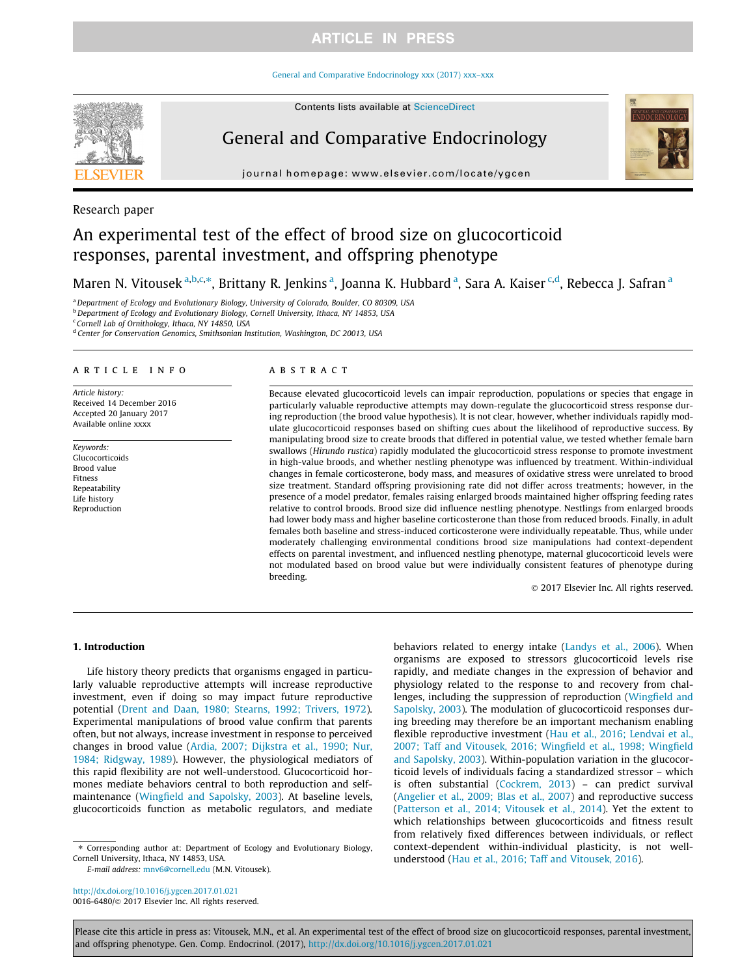#### General and Comparative Endocrinology xxx (2017) xxx–xxx

Contents lists available at ScienceDirect



# General and Comparative Endocrinology

journal homepage: www.elsevier.com/locate/ygcen

## Research paper

# An experimental test of the effect of brood size on glucocorticoid responses, parental investment, and offspring phenotype

Maren N. Vitousek <sup>a,b,c,</sup>\*, Brittany R. Jenkins <sup>a</sup>, Joanna K. Hubbard <sup>a</sup>, Sara A. Kaiser <sup>c,d</sup>, Rebecca J. Safran <sup>a</sup>

a Department of Ecology and Evolutionary Biology, University of Colorado, Boulder, CO 80309, USA

<sup>b</sup> Department of Ecology and Evolutionary Biology, Cornell University, Ithaca, NY 14853, USA

<sup>c</sup> Cornell Lab of Ornithology, Ithaca, NY 14850, USA

<sup>d</sup> Center for Conservation Genomics, Smithsonian Institution, Washington, DC 20013, USA

#### article info

Article history: Received 14 December 2016 Accepted 20 January 2017 Available online xxxx

Keywords: Glucocorticoids Brood value Fitness Repeatability Life history Reproduction

## ABSTRACT

Because elevated glucocorticoid levels can impair reproduction, populations or species that engage in particularly valuable reproductive attempts may down-regulate the glucocorticoid stress response during reproduction (the brood value hypothesis). It is not clear, however, whether individuals rapidly modulate glucocorticoid responses based on shifting cues about the likelihood of reproductive success. By manipulating brood size to create broods that differed in potential value, we tested whether female barn swallows (Hirundo rustica) rapidly modulated the glucocorticoid stress response to promote investment in high-value broods, and whether nestling phenotype was influenced by treatment. Within-individual changes in female corticosterone, body mass, and measures of oxidative stress were unrelated to brood size treatment. Standard offspring provisioning rate did not differ across treatments; however, in the presence of a model predator, females raising enlarged broods maintained higher offspring feeding rates relative to control broods. Brood size did influence nestling phenotype. Nestlings from enlarged broods had lower body mass and higher baseline corticosterone than those from reduced broods. Finally, in adult females both baseline and stress-induced corticosterone were individually repeatable. Thus, while under moderately challenging environmental conditions brood size manipulations had context-dependent effects on parental investment, and influenced nestling phenotype, maternal glucocorticoid levels were not modulated based on brood value but were individually consistent features of phenotype during breeding.

 $©$  2017 Elsevier Inc. All rights reserved.

#### 1. Introduction

Life history theory predicts that organisms engaged in particularly valuable reproductive attempts will increase reproductive investment, even if doing so may impact future reproductive potential (Drent and Daan, 1980; Stearns, 1992; Trivers, 1972). Experimental manipulations of brood value confirm that parents often, but not always, increase investment in response to perceived changes in brood value (Ardia, 2007; Dijkstra et al., 1990; Nur, 1984; Ridgway, 1989). However, the physiological mediators of this rapid flexibility are not well-understood. Glucocorticoid hormones mediate behaviors central to both reproduction and selfmaintenance (Wingfield and Sapolsky, 2003). At baseline levels, glucocorticoids function as metabolic regulators, and mediate

⇑ Corresponding author at: Department of Ecology and Evolutionary Biology, Cornell University, Ithaca, NY 14853, USA.

E-mail address: mnv6@cornell.edu (M.N. Vitousek).

http://dx.doi.org/10.1016/j.ygcen.2017.01.021 0016-6480/@ 2017 Elsevier Inc. All rights reserved. behaviors related to energy intake (Landys et al., 2006). When organisms are exposed to stressors glucocorticoid levels rise rapidly, and mediate changes in the expression of behavior and physiology related to the response to and recovery from challenges, including the suppression of reproduction (Wingfield and Sapolsky, 2003). The modulation of glucocorticoid responses during breeding may therefore be an important mechanism enabling flexible reproductive investment (Hau et al., 2016; Lendvai et al., 2007; Taff and Vitousek, 2016; Wingfield et al., 1998; Wingfield and Sapolsky, 2003). Within-population variation in the glucocorticoid levels of individuals facing a standardized stressor – which is often substantial (Cockrem, 2013) – can predict survival (Angelier et al., 2009; Blas et al., 2007) and reproductive success (Patterson et al., 2014; Vitousek et al., 2014). Yet the extent to which relationships between glucocorticoids and fitness result from relatively fixed differences between individuals, or reflect context-dependent within-individual plasticity, is not wellunderstood (Hau et al., 2016; Taff and Vitousek, 2016).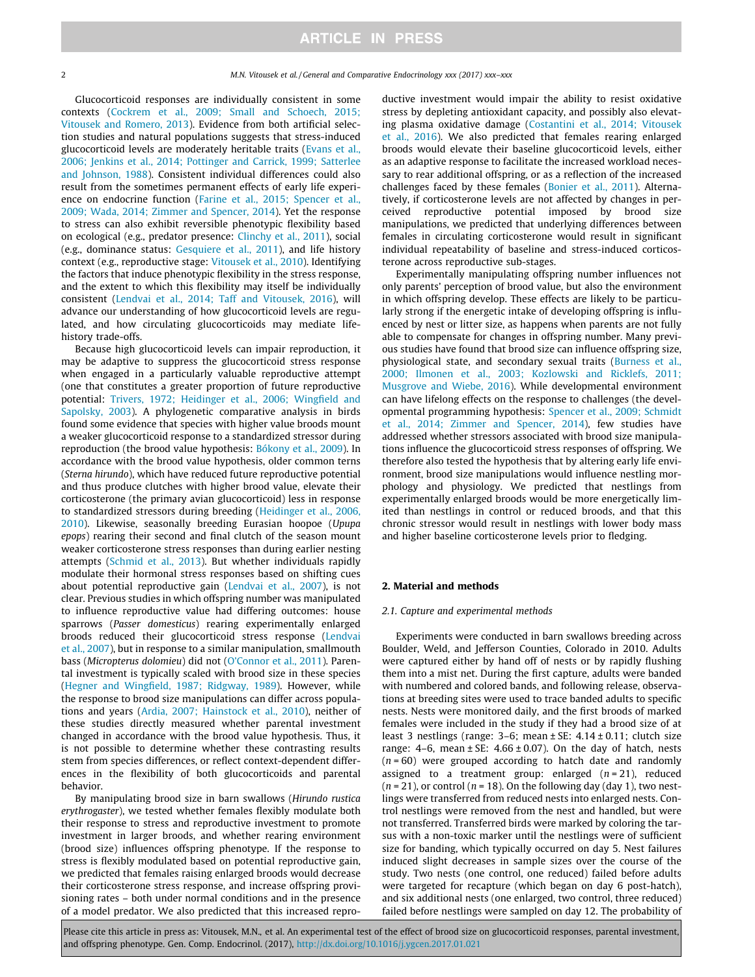Glucocorticoid responses are individually consistent in some contexts (Cockrem et al., 2009; Small and Schoech, 2015; Vitousek and Romero, 2013). Evidence from both artificial selection studies and natural populations suggests that stress-induced glucocorticoid levels are moderately heritable traits (Evans et al., 2006; Jenkins et al., 2014; Pottinger and Carrick, 1999; Satterlee and Johnson, 1988). Consistent individual differences could also result from the sometimes permanent effects of early life experience on endocrine function (Farine et al., 2015; Spencer et al., 2009; Wada, 2014; Zimmer and Spencer, 2014). Yet the response to stress can also exhibit reversible phenotypic flexibility based on ecological (e.g., predator presence: Clinchy et al., 2011), social (e.g., dominance status: Gesquiere et al., 2011), and life history context (e.g., reproductive stage: Vitousek et al., 2010). Identifying the factors that induce phenotypic flexibility in the stress response, and the extent to which this flexibility may itself be individually consistent (Lendvai et al., 2014; Taff and Vitousek, 2016), will advance our understanding of how glucocorticoid levels are regulated, and how circulating glucocorticoids may mediate lifehistory trade-offs.

Because high glucocorticoid levels can impair reproduction, it may be adaptive to suppress the glucocorticoid stress response when engaged in a particularly valuable reproductive attempt (one that constitutes a greater proportion of future reproductive potential: Trivers, 1972; Heidinger et al., 2006; Wingfield and Sapolsky, 2003). A phylogenetic comparative analysis in birds found some evidence that species with higher value broods mount a weaker glucocorticoid response to a standardized stressor during reproduction (the brood value hypothesis: Bókony et al., 2009). In accordance with the brood value hypothesis, older common terns (Sterna hirundo), which have reduced future reproductive potential and thus produce clutches with higher brood value, elevate their corticosterone (the primary avian glucocorticoid) less in response to standardized stressors during breeding (Heidinger et al., 2006, 2010). Likewise, seasonally breeding Eurasian hoopoe (Upupa epops) rearing their second and final clutch of the season mount weaker corticosterone stress responses than during earlier nesting attempts (Schmid et al., 2013). But whether individuals rapidly modulate their hormonal stress responses based on shifting cues about potential reproductive gain (Lendvai et al., 2007), is not clear. Previous studies in which offspring number was manipulated to influence reproductive value had differing outcomes: house sparrows (Passer domesticus) rearing experimentally enlarged broods reduced their glucocorticoid stress response (Lendvai et al., 2007), but in response to a similar manipulation, smallmouth bass (Micropterus dolomieu) did not (O'Connor et al., 2011). Parental investment is typically scaled with brood size in these species (Hegner and Wingfield, 1987; Ridgway, 1989). However, while the response to brood size manipulations can differ across populations and years (Ardia, 2007; Hainstock et al., 2010), neither of these studies directly measured whether parental investment changed in accordance with the brood value hypothesis. Thus, it is not possible to determine whether these contrasting results stem from species differences, or reflect context-dependent differences in the flexibility of both glucocorticoids and parental behavior.

By manipulating brood size in barn swallows (Hirundo rustica erythrogaster), we tested whether females flexibly modulate both their response to stress and reproductive investment to promote investment in larger broods, and whether rearing environment (brood size) influences offspring phenotype. If the response to stress is flexibly modulated based on potential reproductive gain, we predicted that females raising enlarged broods would decrease their corticosterone stress response, and increase offspring provisioning rates – both under normal conditions and in the presence of a model predator. We also predicted that this increased reproductive investment would impair the ability to resist oxidative stress by depleting antioxidant capacity, and possibly also elevating plasma oxidative damage (Costantini et al., 2014; Vitousek et al., 2016). We also predicted that females rearing enlarged broods would elevate their baseline glucocorticoid levels, either as an adaptive response to facilitate the increased workload necessary to rear additional offspring, or as a reflection of the increased challenges faced by these females (Bonier et al., 2011). Alternatively, if corticosterone levels are not affected by changes in perceived reproductive potential imposed by brood size manipulations, we predicted that underlying differences between females in circulating corticosterone would result in significant individual repeatability of baseline and stress-induced corticosterone across reproductive sub-stages.

Experimentally manipulating offspring number influences not only parents' perception of brood value, but also the environment in which offspring develop. These effects are likely to be particularly strong if the energetic intake of developing offspring is influenced by nest or litter size, as happens when parents are not fully able to compensate for changes in offspring number. Many previous studies have found that brood size can influence offspring size, physiological state, and secondary sexual traits (Burness et al., 2000; Ilmonen et al., 2003; Kozlowski and Ricklefs, 2011; Musgrove and Wiebe, 2016). While developmental environment can have lifelong effects on the response to challenges (the developmental programming hypothesis: Spencer et al., 2009; Schmidt et al., 2014; Zimmer and Spencer, 2014), few studies have addressed whether stressors associated with brood size manipulations influence the glucocorticoid stress responses of offspring. We therefore also tested the hypothesis that by altering early life environment, brood size manipulations would influence nestling morphology and physiology. We predicted that nestlings from experimentally enlarged broods would be more energetically limited than nestlings in control or reduced broods, and that this chronic stressor would result in nestlings with lower body mass and higher baseline corticosterone levels prior to fledging.

#### 2. Material and methods

#### 2.1. Capture and experimental methods

Experiments were conducted in barn swallows breeding across Boulder, Weld, and Jefferson Counties, Colorado in 2010. Adults were captured either by hand off of nests or by rapidly flushing them into a mist net. During the first capture, adults were banded with numbered and colored bands, and following release, observations at breeding sites were used to trace banded adults to specific nests. Nests were monitored daily, and the first broods of marked females were included in the study if they had a brood size of at least 3 nestlings (range:  $3-6$ ; mean  $\pm$  SE:  $4.14 \pm 0.11$ ; clutch size range:  $4-6$ , mean  $\pm$  SE:  $4.66 \pm 0.07$ ). On the day of hatch, nests  $(n = 60)$  were grouped according to hatch date and randomly assigned to a treatment group: enlarged  $(n=21)$ , reduced  $(n = 21)$ , or control  $(n = 18)$ . On the following day (day 1), two nestlings were transferred from reduced nests into enlarged nests. Control nestlings were removed from the nest and handled, but were not transferred. Transferred birds were marked by coloring the tarsus with a non-toxic marker until the nestlings were of sufficient size for banding, which typically occurred on day 5. Nest failures induced slight decreases in sample sizes over the course of the study. Two nests (one control, one reduced) failed before adults were targeted for recapture (which began on day 6 post-hatch), and six additional nests (one enlarged, two control, three reduced) failed before nestlings were sampled on day 12. The probability of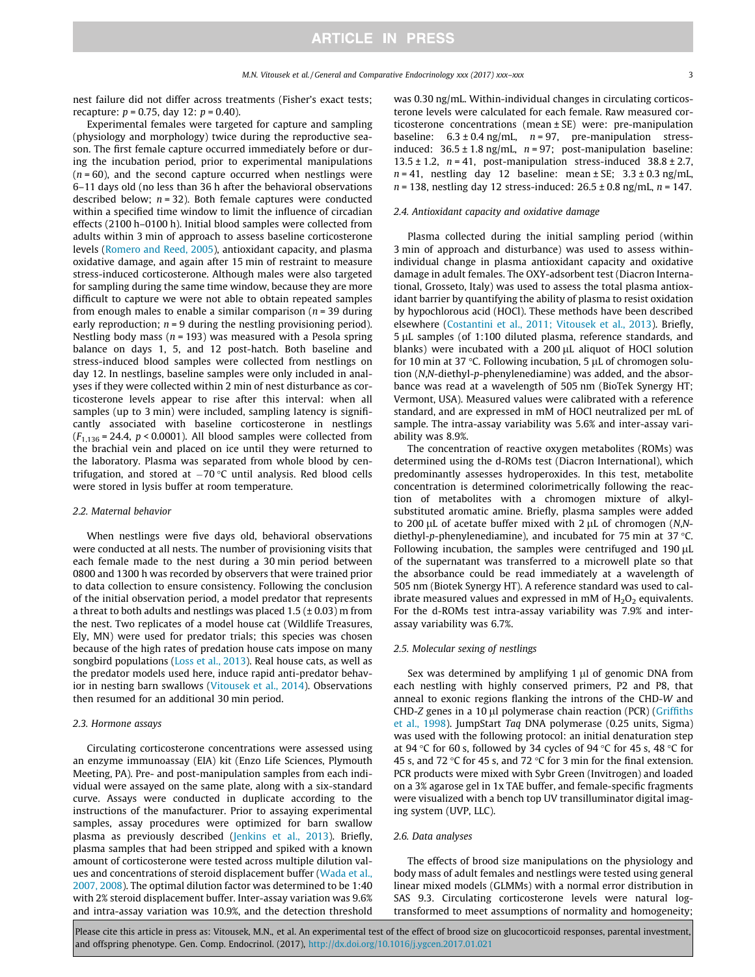nest failure did not differ across treatments (Fisher's exact tests; recapture:  $p = 0.75$ , day 12:  $p = 0.40$ ).

Experimental females were targeted for capture and sampling (physiology and morphology) twice during the reproductive season. The first female capture occurred immediately before or during the incubation period, prior to experimental manipulations  $(n = 60)$ , and the second capture occurred when nestlings were 6–11 days old (no less than 36 h after the behavioral observations described below;  $n = 32$ ). Both female captures were conducted within a specified time window to limit the influence of circadian effects (2100 h–0100 h). Initial blood samples were collected from adults within 3 min of approach to assess baseline corticosterone levels (Romero and Reed, 2005), antioxidant capacity, and plasma oxidative damage, and again after 15 min of restraint to measure stress-induced corticosterone. Although males were also targeted for sampling during the same time window, because they are more difficult to capture we were not able to obtain repeated samples from enough males to enable a similar comparison ( $n = 39$  during early reproduction;  $n = 9$  during the nestling provisioning period). Nestling body mass ( $n = 193$ ) was measured with a Pesola spring balance on days 1, 5, and 12 post-hatch. Both baseline and stress-induced blood samples were collected from nestlings on day 12. In nestlings, baseline samples were only included in analyses if they were collected within 2 min of nest disturbance as corticosterone levels appear to rise after this interval: when all samples (up to 3 min) were included, sampling latency is significantly associated with baseline corticosterone in nestlings  $(F_{1,136} = 24.4, p < 0.0001)$ . All blood samples were collected from the brachial vein and placed on ice until they were returned to the laboratory. Plasma was separated from whole blood by centrifugation, and stored at  $-70$  °C until analysis. Red blood cells were stored in lysis buffer at room temperature.

#### 2.2. Maternal behavior

When nestlings were five days old, behavioral observations were conducted at all nests. The number of provisioning visits that each female made to the nest during a 30 min period between 0800 and 1300 h was recorded by observers that were trained prior to data collection to ensure consistency. Following the conclusion of the initial observation period, a model predator that represents a threat to both adults and nestlings was placed  $1.5$  ( $\pm$  0.03) m from the nest. Two replicates of a model house cat (Wildlife Treasures, Ely, MN) were used for predator trials; this species was chosen because of the high rates of predation house cats impose on many songbird populations (Loss et al., 2013). Real house cats, as well as the predator models used here, induce rapid anti-predator behavior in nesting barn swallows (Vitousek et al., 2014). Observations then resumed for an additional 30 min period.

## 2.3. Hormone assays

Circulating corticosterone concentrations were assessed using an enzyme immunoassay (EIA) kit (Enzo Life Sciences, Plymouth Meeting, PA). Pre- and post-manipulation samples from each individual were assayed on the same plate, along with a six-standard curve. Assays were conducted in duplicate according to the instructions of the manufacturer. Prior to assaying experimental samples, assay procedures were optimized for barn swallow plasma as previously described (Jenkins et al., 2013). Briefly, plasma samples that had been stripped and spiked with a known amount of corticosterone were tested across multiple dilution values and concentrations of steroid displacement buffer (Wada et al., 2007, 2008). The optimal dilution factor was determined to be 1:40 with 2% steroid displacement buffer. Inter-assay variation was 9.6% and intra-assay variation was 10.9%, and the detection threshold

was 0.30 ng/mL. Within-individual changes in circulating corticosterone levels were calculated for each female. Raw measured corticosterone concentrations (mean ± SE) were: pre-manipulation baseline:  $6.3 \pm 0.4$  ng/mL,  $n = 97$ , pre-manipulation stressinduced:  $36.5 \pm 1.8$  ng/mL,  $n = 97$ ; post-manipulation baseline: 13.5  $\pm$  1.2,  $n = 41$ , post-manipulation stress-induced 38.8  $\pm$  2.7,  $n = 41$ , nestling day 12 baseline: mean  $\pm$  SE; 3.3  $\pm$  0.3 ng/mL,  $n = 138$ , nestling day 12 stress-induced:  $26.5 \pm 0.8$  ng/mL,  $n = 147$ .

#### 2.4. Antioxidant capacity and oxidative damage

Plasma collected during the initial sampling period (within 3 min of approach and disturbance) was used to assess withinindividual change in plasma antioxidant capacity and oxidative damage in adult females. The OXY-adsorbent test (Diacron International, Grosseto, Italy) was used to assess the total plasma antioxidant barrier by quantifying the ability of plasma to resist oxidation by hypochlorous acid (HOCl). These methods have been described elsewhere (Costantini et al., 2011; Vitousek et al., 2013). Briefly, 5 µL samples (of 1:100 diluted plasma, reference standards, and blanks) were incubated with a  $200 \mu$ L aliquot of HOCl solution for 10 min at 37  $°C$ . Following incubation, 5  $\mu$ L of chromogen solution (N,N-diethyl-p-phenylenediamine) was added, and the absorbance was read at a wavelength of 505 nm (BioTek Synergy HT; Vermont, USA). Measured values were calibrated with a reference standard, and are expressed in mM of HOCl neutralized per mL of sample. The intra-assay variability was 5.6% and inter-assay variability was 8.9%.

The concentration of reactive oxygen metabolites (ROMs) was determined using the d-ROMs test (Diacron International), which predominantly assesses hydroperoxides. In this test, metabolite concentration is determined colorimetrically following the reaction of metabolites with a chromogen mixture of alkylsubstituted aromatic amine. Briefly, plasma samples were added to 200  $\mu$ L of acetate buffer mixed with 2  $\mu$ L of chromogen (N,Ndiethyl-p-phenylenediamine), and incubated for 75 min at 37  $\degree$ C. Following incubation, the samples were centrifuged and  $190 \mu L$ of the supernatant was transferred to a microwell plate so that the absorbance could be read immediately at a wavelength of 505 nm (Biotek Synergy HT). A reference standard was used to calibrate measured values and expressed in mM of  $H_2O_2$  equivalents. For the d-ROMs test intra-assay variability was 7.9% and interassay variability was 6.7%.

## 2.5. Molecular sexing of nestlings

Sex was determined by amplifying 1 µl of genomic DNA from each nestling with highly conserved primers, P2 and P8, that anneal to exonic regions flanking the introns of the CHD-W and CHD-Z genes in a 10  $\mu$ l polymerase chain reaction (PCR) (Griffiths et al., 1998). JumpStart Taq DNA polymerase (0.25 units, Sigma) was used with the following protocol: an initial denaturation step at 94 °C for 60 s, followed by 34 cycles of 94 °C for 45 s, 48 °C for 45 s, and 72 °C for 45 s, and 72 °C for 3 min for the final extension. PCR products were mixed with Sybr Green (Invitrogen) and loaded on a 3% agarose gel in 1x TAE buffer, and female-specific fragments were visualized with a bench top UV transilluminator digital imaging system (UVP, LLC).

#### 2.6. Data analyses

The effects of brood size manipulations on the physiology and body mass of adult females and nestlings were tested using general linear mixed models (GLMMs) with a normal error distribution in SAS 9.3. Circulating corticosterone levels were natural logtransformed to meet assumptions of normality and homogeneity;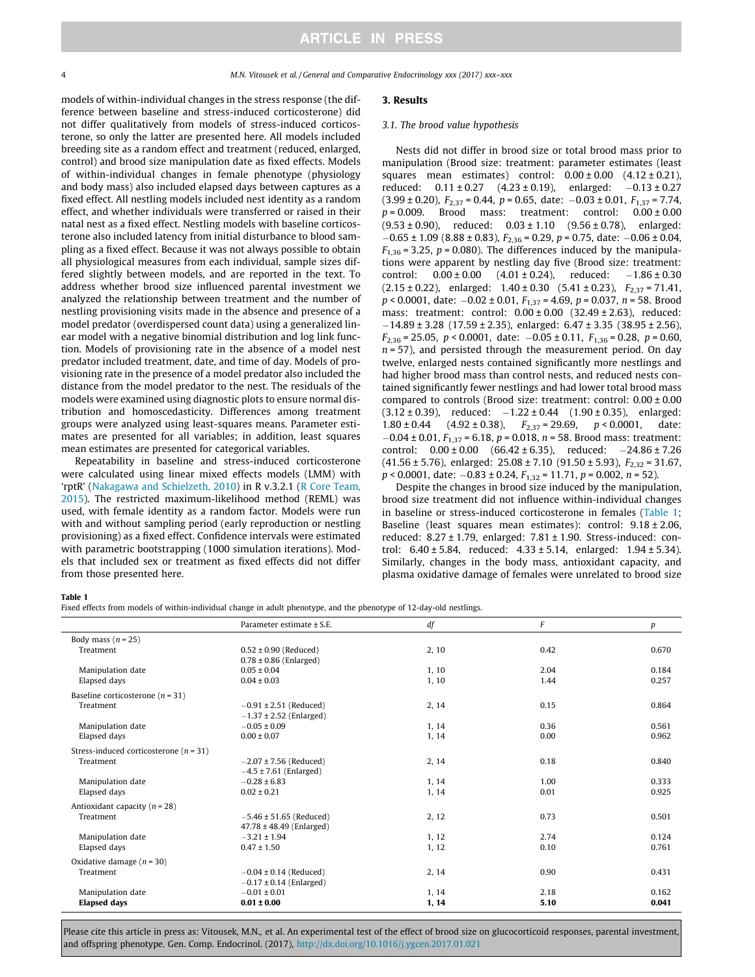#### 4 M.N. Vitousek et al. / General and Comparative Endocrinology xxx (2017) xxx–xxx

models of within-individual changes in the stress response (the difference between baseline and stress-induced corticosterone) did not differ qualitatively from models of stress-induced corticosterone, so only the latter are presented here. All models included breeding site as a random effect and treatment (reduced, enlarged, control) and brood size manipulation date as fixed effects. Models of within-individual changes in female phenotype (physiology and body mass) also included elapsed days between captures as a fixed effect. All nestling models included nest identity as a random effect, and whether individuals were transferred or raised in their natal nest as a fixed effect. Nestling models with baseline corticosterone also included latency from initial disturbance to blood sampling as a fixed effect. Because it was not always possible to obtain all physiological measures from each individual, sample sizes differed slightly between models, and are reported in the text. To address whether brood size influenced parental investment we analyzed the relationship between treatment and the number of nestling provisioning visits made in the absence and presence of a model predator (overdispersed count data) using a generalized linear model with a negative binomial distribution and log link function. Models of provisioning rate in the absence of a model nest predator included treatment, date, and time of day. Models of provisioning rate in the presence of a model predator also included the distance from the model predator to the nest. The residuals of the models were examined using diagnostic plots to ensure normal distribution and homoscedasticity. Differences among treatment groups were analyzed using least-squares means. Parameter estimates are presented for all variables; in addition, least squares mean estimates are presented for categorical variables.

Repeatability in baseline and stress-induced corticosterone were calculated using linear mixed effects models (LMM) with 'rptR' (Nakagawa and Schielzeth, 2010) in R v.3.2.1 (R Core Team, 2015). The restricted maximum-likelihood method (REML) was used, with female identity as a random factor. Models were run with and without sampling period (early reproduction or nestling provisioning) as a fixed effect. Confidence intervals were estimated with parametric bootstrapping (1000 simulation iterations). Models that included sex or treatment as fixed effects did not differ from those presented here.

## 3. Results

#### 3.1. The brood value hypothesis

Nests did not differ in brood size or total brood mass prior to manipulation (Brood size: treatment: parameter estimates (least squares mean estimates) control:  $0.00 \pm 0.00$  (4.12  $\pm$  0.21), reduced:  $0.11 \pm 0.27$  (4.23  $\pm$  0.19), enlarged:  $-0.13 \pm 0.27$  $(3.99 \pm 0.20)$ ,  $F_{2,37} = 0.44$ ,  $p = 0.65$ , date:  $-0.03 \pm 0.01$ ,  $F_{1,37} = 7.74$ ,  $p = 0.009$ . Brood mass: treatment: control:  $0.00 \pm 0.00$  $(9.53 \pm 0.90)$ , reduced:  $0.03 \pm 1.10$   $(9.56 \pm 0.78)$ , enlarged:  $-0.65 \pm 1.09$  (8.88  $\pm$  0.83),  $F_{2,36}$  = 0.29, p = 0.75, date:  $-0.06 \pm 0.04$ ,  $F_{1,36}$  = 3.25, p = 0.080). The differences induced by the manipulations were apparent by nestling day five (Brood size: treatment: control:  $0.00 \pm 0.00$   $(4.01 \pm 0.24)$ , reduced:  $-1.86 \pm 0.30$  $(2.15 \pm 0.22)$ , enlarged:  $1.40 \pm 0.30$   $(5.41 \pm 0.23)$ ,  $F_{2.37} = 71.41$ ,  $p < 0.0001$ , date:  $-0.02 \pm 0.01$ ,  $F_{1,37} = 4.69$ ,  $p = 0.037$ ,  $n = 58$ . Brood mass: treatment: control: 0.00 ± 0.00 (32.49 ± 2.63), reduced:  $-14.89 \pm 3.28$  (17.59  $\pm 2.35$ ), enlarged: 6.47  $\pm 3.35$  (38.95  $\pm 2.56$ ),  $F_{2,36} = 25.05$ ,  $p < 0.0001$ , date:  $-0.05 \pm 0.11$ ,  $F_{1,36} = 0.28$ ,  $p = 0.60$ ,  $n = 57$ ), and persisted through the measurement period. On day twelve, enlarged nests contained significantly more nestlings and had higher brood mass than control nests, and reduced nests contained significantly fewer nestlings and had lower total brood mass compared to controls (Brood size: treatment: control: 0.00 ± 0.00  $(3.12 \pm 0.39)$ , reduced:  $-1.22 \pm 0.44$   $(1.90 \pm 0.35)$ , enlarged:<br> $1.80 \pm 0.44$   $(4.92 \pm 0.38)$ .  $F_{2,37} = 29.69$ .  $p < 0.0001$ . date:  $(4.92 \pm 0.38),$   $F_{2,37} = 29.69,$   $p < 0.0001,$  date:  $-0.04 \pm 0.01$ ,  $F_{1,37} = 6.18$ ,  $p = 0.018$ ,  $n = 58$ . Brood mass: treatment: control:  $0.00 \pm 0.00$  (66.42  $\pm$  6.35), reduced:  $-24.86 \pm 7.26$  $(41.56 \pm 5.76)$ , enlarged:  $25.08 \pm 7.10$   $(91.50 \pm 5.93)$ ,  $F_{2,32} = 31.67$ ,  $p < 0.0001$ , date:  $-0.83 \pm 0.24$ ,  $F_{1,32} = 11.71$ ,  $p = 0.002$ ,  $n = 52$ ).

Despite the changes in brood size induced by the manipulation, brood size treatment did not influence within-individual changes in baseline or stress-induced corticosterone in females (Table 1; Baseline (least squares mean estimates): control:  $9.18 \pm 2.06$ , reduced:  $8.27 \pm 1.79$ , enlarged:  $7.81 \pm 1.90$ . Stress-induced: control: 6.40 ± 5.84, reduced: 4.33 ± 5.14, enlarged: 1.94 ± 5.34). Similarly, changes in the body mass, antioxidant capacity, and plasma oxidative damage of females were unrelated to brood size

#### Table 1

Fixed effects from models of within-individual change in adult phenotype, and the phenotype of 12-day-old nestlings.

|                                            | Parameter estimate ± S.E.    | df    | F    | $\boldsymbol{p}$ |
|--------------------------------------------|------------------------------|-------|------|------------------|
| Body mass $(n = 25)$                       |                              |       |      |                  |
| Treatment                                  | $0.52 \pm 0.90$ (Reduced)    | 2, 10 | 0.42 | 0.670            |
|                                            | $0.78 \pm 0.86$ (Enlarged)   |       |      |                  |
| Manipulation date                          | $0.05 \pm 0.04$              | 1, 10 | 2.04 | 0.184            |
| Elapsed days                               | $0.04 \pm 0.03$              | 1.10  | 1.44 | 0.257            |
| Baseline corticosterone ( $n = 31$ )       |                              |       |      |                  |
| Treatment                                  | $-0.91 \pm 2.51$ (Reduced)   | 2, 14 | 0.15 | 0.864            |
|                                            | $-1.37 \pm 2.52$ (Enlarged)  |       |      |                  |
| Manipulation date                          | $-0.05 \pm 0.09$             | 1, 14 | 0.36 | 0.561            |
| Elapsed days                               | $0.00 \pm 0.07$              | 1, 14 | 0.00 | 0.962            |
| Stress-induced corticosterone ( $n = 31$ ) |                              |       |      |                  |
| Treatment                                  | $-2.07 \pm 7.56$ (Reduced)   | 2, 14 | 0.18 | 0.840            |
|                                            | $-4.5 \pm 7.61$ (Enlarged)   |       |      |                  |
| Manipulation date                          | $-0.28 \pm 6.83$             | 1, 14 | 1.00 | 0.333            |
| Elapsed days                               | $0.02 \pm 0.21$              | 1, 14 | 0.01 | 0.925            |
| Antioxidant capacity ( $n = 28$ )          |                              |       |      |                  |
| Treatment                                  | $-5.46 \pm 51.65$ (Reduced)  | 2, 12 | 0.73 | 0.501            |
|                                            | $47.78 \pm 48.49$ (Enlarged) |       |      |                  |
| Manipulation date                          | $-3.21 \pm 1.94$             | 1.12  | 2.74 | 0.124            |
| Elapsed days                               | $0.47 \pm 1.50$              | 1, 12 | 0.10 | 0.761            |
| Oxidative damage $(n = 30)$                |                              |       |      |                  |
| Treatment                                  | $-0.04 \pm 0.14$ (Reduced)   | 2, 14 | 0.90 | 0.431            |
|                                            | $-0.17 \pm 0.14$ (Enlarged)  |       |      |                  |
| Manipulation date                          | $-0.01 \pm 0.01$             | 1, 14 | 2.18 | 0.162            |
| <b>Elapsed days</b>                        | $0.01 \pm 0.00$              | 1, 14 | 5.10 | 0.041            |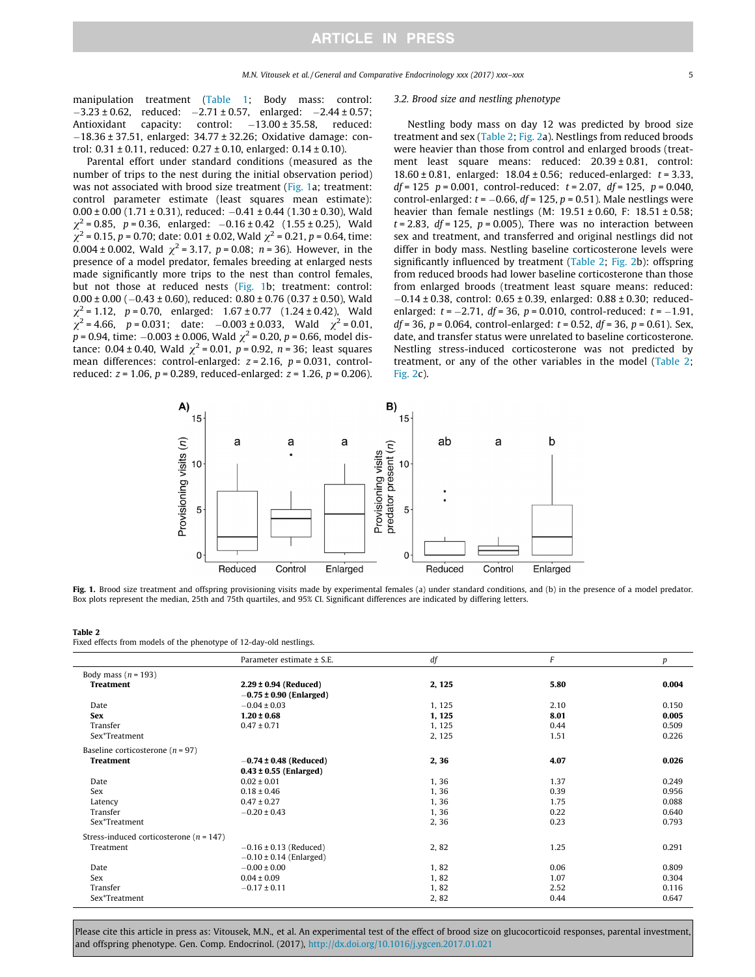manipulation treatment (Table 1; Body mass: control:  $-3.23 \pm 0.62$ , reduced:  $-2.71 \pm 0.57$ , enlarged:  $-2.44 \pm 0.57$ ;<br>Antioxidant capacity: control:  $-13.00 \pm 35.58$ , reduced:  $-13.00 \pm 35.58$ , reduced:  $-18.36 \pm 37.51$ , enlarged: 34.77  $\pm$  32.26; Oxidative damage: control: 0.31 ± 0.11, reduced: 0.27 ± 0.10, enlarged: 0.14 ± 0.10).

# Parental effort under standard conditions (measured as the number of trips to the nest during the initial observation period) was not associated with brood size treatment (Fig. 1a; treatment:

control parameter estimate (least squares mean estimate):  $0.00 \pm 0.00$  (1.71  $\pm$  0.31), reduced:  $-0.41 \pm 0.44$  (1.30  $\pm$  0.30), Wald  $\chi^2$  = 0.85, p = 0.36, enlarged: -0.16 ± 0.42 (1.55 ± 0.25), Wald  $\chi^2$  = 0.15, p = 0.70; date: 0.01 ± 0.02, Wald  $\chi^2$  = 0.21, p = 0.64, time: 0.004 ± 0.002, Wald  $\chi^2$  = 3.17, p = 0.08; n = 36). However, in the presence of a model predator, females breeding at enlarged nests made significantly more trips to the nest than control females, but not those at reduced nests (Fig. 1b; treatment: control:  $0.00 \pm 0.00$  ( $-0.43 \pm 0.60$ ), reduced:  $0.80 \pm 0.76$  ( $0.37 \pm 0.50$ ), Wald  $\chi^2$  = 1.12, p = 0.70, enlarged: 1.67 ± 0.77 (1.24 ± 0.42), Wald  $\chi^2$  = 4.66, p = 0.031; date: -0.003 ± 0.033, Wald  $\chi^2$  = 0.01,  $p = 0.94$ , time:  $-0.003 \pm 0.006$ , Wald  $\chi^2 = 0.20$ ,  $p = 0.66$ , model distance: 0.04 ± 0.40, Wald  $\chi^2$  = 0.01, p = 0.92, n = 36; least squares mean differences: control-enlarged:  $z = 2.16$ ,  $p = 0.031$ , controlreduced:  $z = 1.06$ ,  $p = 0.289$ , reduced-enlarged:  $z = 1.26$ ,  $p = 0.206$ ).

#### 3.2. Brood size and nestling phenotype

Nestling body mass on day 12 was predicted by brood size treatment and sex (Table 2; Fig. 2a). Nestlings from reduced broods were heavier than those from control and enlarged broods (treatment least square means: reduced: 20.39 ± 0.81, control: 18.60  $\pm$  0.81, enlarged: 18.04  $\pm$  0.56; reduced-enlarged:  $t = 3.33$ ,  $df = 125$   $p = 0.001$ , control-reduced:  $t = 2.07$ ,  $df = 125$ ,  $p = 0.040$ , control-enlarged:  $t = -0.66$ ,  $df = 125$ ,  $p = 0.51$ ). Male nestlings were heavier than female nestlings (M:  $19.51 \pm 0.60$ , F:  $18.51 \pm 0.58$ ;  $t = 2.83$ ,  $df = 125$ ,  $p = 0.005$ ), There was no interaction between sex and treatment, and transferred and original nestlings did not differ in body mass. Nestling baseline corticosterone levels were significantly influenced by treatment (Table 2; Fig. 2b): offspring from reduced broods had lower baseline corticosterone than those from enlarged broods (treatment least square means: reduced:  $-0.14 \pm 0.38$ , control: 0.65  $\pm$  0.39, enlarged: 0.88  $\pm$  0.30; reducedenlarged:  $t = -2.71$ ,  $df = 36$ ,  $p = 0.010$ , control-reduced:  $t = -1.91$ ,  $df = 36$ ,  $p = 0.064$ , control-enlarged:  $t = 0.52$ ,  $df = 36$ ,  $p = 0.61$ ). Sex, date, and transfer status were unrelated to baseline corticosterone. Nestling stress-induced corticosterone was not predicted by treatment, or any of the other variables in the model (Table 2; Fig. 2c).



Fig. 1. Brood size treatment and offspring provisioning visits made by experimental females (a) under standard conditions, and (b) in the presence of a model predator. Box plots represent the median, 25th and 75th quartiles, and 95% CI. Significant differences are indicated by differing letters.

#### Table 2

Fixed effects from models of the phenotype of 12-day-old nestlings.

|                                             | Parameter estimate ± S.E.   | df     | F    | р     |
|---------------------------------------------|-----------------------------|--------|------|-------|
| Body mass ( $n = 193$ )                     |                             |        |      |       |
| <b>Treatment</b>                            | $2.29 \pm 0.94$ (Reduced)   | 2, 125 | 5.80 | 0.004 |
|                                             | $-0.75 \pm 0.90$ (Enlarged) |        |      |       |
| Date                                        | $-0.04 \pm 0.03$            | 1, 125 | 2.10 | 0.150 |
| <b>Sex</b>                                  | $1.20 \pm 0.68$             | 1, 125 | 8.01 | 0.005 |
| Transfer                                    | $0.47 \pm 0.71$             | 1, 125 | 0.44 | 0.509 |
| Sex*Treatment                               |                             | 2, 125 | 1.51 | 0.226 |
| Baseline corticosterone ( $n = 97$ )        |                             |        |      |       |
| <b>Treatment</b>                            | $-0.74 \pm 0.48$ (Reduced)  | 2, 36  | 4.07 | 0.026 |
|                                             | $0.43 \pm 0.55$ (Enlarged)  |        |      |       |
| Date                                        | $0.02 \pm 0.01$             | 1,36   | 1.37 | 0.249 |
| Sex                                         | $0.18 \pm 0.46$             | 1,36   | 0.39 | 0.956 |
| Latency                                     | $0.47 \pm 0.27$             | 1,36   | 1.75 | 0.088 |
| Transfer                                    | $-0.20 \pm 0.43$            | 1,36   | 0.22 | 0.640 |
| Sex*Treatment                               |                             | 2,36   | 0.23 | 0.793 |
| Stress-induced corticosterone ( $n = 147$ ) |                             |        |      |       |
| Treatment                                   | $-0.16 \pm 0.13$ (Reduced)  | 2,82   | 1.25 | 0.291 |
|                                             | $-0.10 \pm 0.14$ (Enlarged) |        |      |       |
| Date                                        | $-0.00 \pm 0.00$            | 1,82   | 0.06 | 0.809 |
| Sex                                         | $0.04 \pm 0.09$             | 1,82   | 1.07 | 0.304 |
| Transfer                                    | $-0.17 \pm 0.11$            | 1,82   | 2.52 | 0.116 |
| Sex*Treatment                               |                             | 2,82   | 0.44 | 0.647 |
|                                             |                             |        |      |       |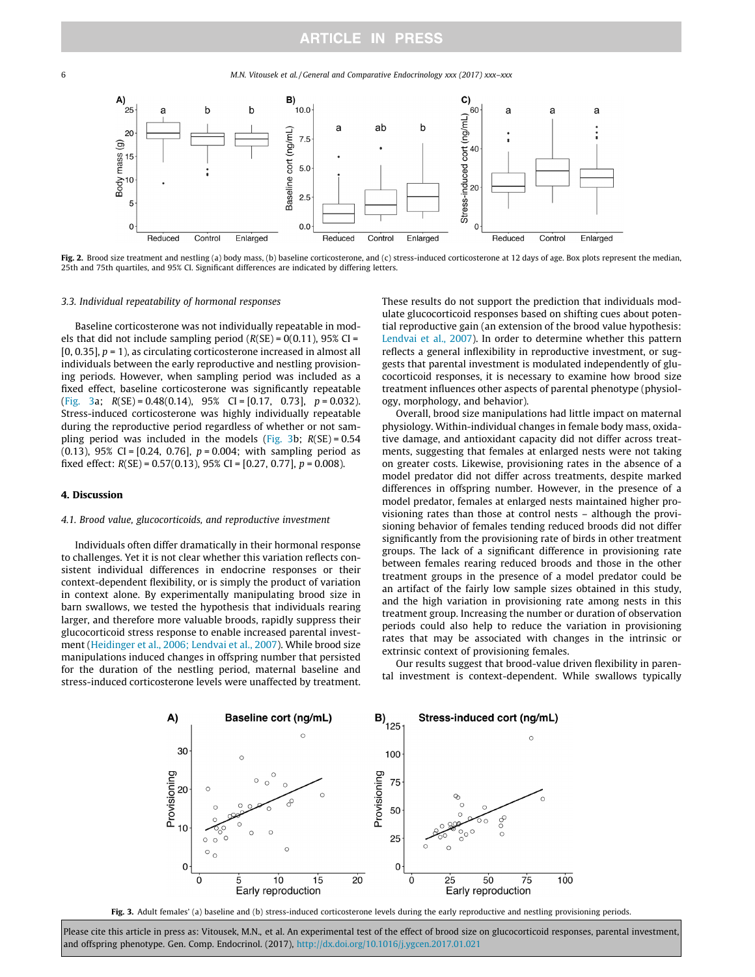6 M.N. Vitousek et al. / General and Comparative Endocrinology xxx (2017) xxx–xxx



Fig. 2. Brood size treatment and nestling (a) body mass, (b) baseline corticosterone, and (c) stress-induced corticosterone at 12 days of age. Box plots represent the median, 25th and 75th quartiles, and 95% CI. Significant differences are indicated by differing letters.

#### 3.3. Individual repeatability of hormonal responses

Baseline corticosterone was not individually repeatable in models that did not include sampling period  $(R(SE) = 0(0.11)$ , 95% CI =  $[0, 0.35]$ ,  $p = 1$ ), as circulating corticosterone increased in almost all individuals between the early reproductive and nestling provisioning periods. However, when sampling period was included as a fixed effect, baseline corticosterone was significantly repeatable (Fig. 3a;  $R(SE) = 0.48(0.14)$ , 95% CI = [0.17, 0.73],  $p = 0.032$ ). Stress-induced corticosterone was highly individually repeatable during the reproductive period regardless of whether or not sampling period was included in the models (Fig. 3b;  $R(SE) = 0.54$  $(0.13)$ , 95% CI =  $[0.24, 0.76]$ ,  $p = 0.004$ ; with sampling period as fixed effect:  $R(SE) = 0.57(0.13)$ ,  $95\%$  CI = [0.27, 0.77],  $p = 0.008$ ).

#### 4. Discussion

## 4.1. Brood value, glucocorticoids, and reproductive investment

Individuals often differ dramatically in their hormonal response to challenges. Yet it is not clear whether this variation reflects consistent individual differences in endocrine responses or their context-dependent flexibility, or is simply the product of variation in context alone. By experimentally manipulating brood size in barn swallows, we tested the hypothesis that individuals rearing larger, and therefore more valuable broods, rapidly suppress their glucocorticoid stress response to enable increased parental investment (Heidinger et al., 2006; Lendvai et al., 2007). While brood size manipulations induced changes in offspring number that persisted for the duration of the nestling period, maternal baseline and stress-induced corticosterone levels were unaffected by treatment. These results do not support the prediction that individuals modulate glucocorticoid responses based on shifting cues about potential reproductive gain (an extension of the brood value hypothesis: Lendvai et al., 2007). In order to determine whether this pattern reflects a general inflexibility in reproductive investment, or suggests that parental investment is modulated independently of glucocorticoid responses, it is necessary to examine how brood size treatment influences other aspects of parental phenotype (physiology, morphology, and behavior).

Overall, brood size manipulations had little impact on maternal physiology. Within-individual changes in female body mass, oxidative damage, and antioxidant capacity did not differ across treatments, suggesting that females at enlarged nests were not taking on greater costs. Likewise, provisioning rates in the absence of a model predator did not differ across treatments, despite marked differences in offspring number. However, in the presence of a model predator, females at enlarged nests maintained higher provisioning rates than those at control nests – although the provisioning behavior of females tending reduced broods did not differ significantly from the provisioning rate of birds in other treatment groups. The lack of a significant difference in provisioning rate between females rearing reduced broods and those in the other treatment groups in the presence of a model predator could be an artifact of the fairly low sample sizes obtained in this study, and the high variation in provisioning rate among nests in this treatment group. Increasing the number or duration of observation periods could also help to reduce the variation in provisioning rates that may be associated with changes in the intrinsic or extrinsic context of provisioning females.

Our results suggest that brood-value driven flexibility in parental investment is context-dependent. While swallows typically



Fig. 3. Adult females' (a) baseline and (b) stress-induced corticosterone levels during the early reproductive and nestling provisioning periods.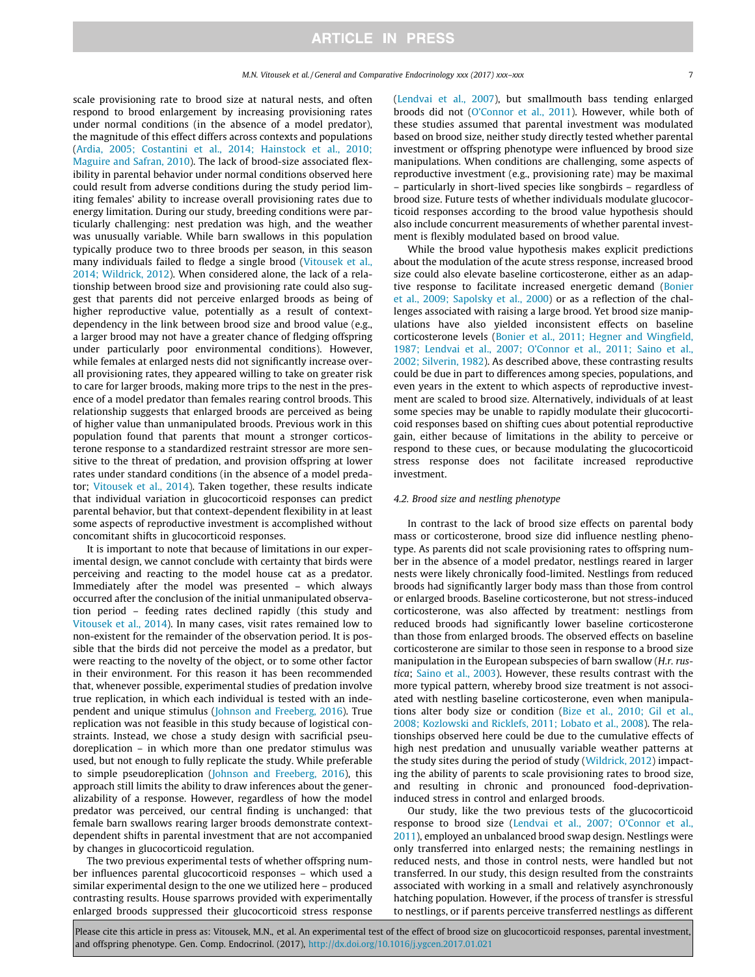scale provisioning rate to brood size at natural nests, and often respond to brood enlargement by increasing provisioning rates under normal conditions (in the absence of a model predator), the magnitude of this effect differs across contexts and populations (Ardia, 2005; Costantini et al., 2014; Hainstock et al., 2010; Maguire and Safran, 2010). The lack of brood-size associated flexibility in parental behavior under normal conditions observed here could result from adverse conditions during the study period limiting females' ability to increase overall provisioning rates due to energy limitation. During our study, breeding conditions were particularly challenging: nest predation was high, and the weather was unusually variable. While barn swallows in this population typically produce two to three broods per season, in this season many individuals failed to fledge a single brood (Vitousek et al., 2014; Wildrick, 2012). When considered alone, the lack of a relationship between brood size and provisioning rate could also suggest that parents did not perceive enlarged broods as being of higher reproductive value, potentially as a result of contextdependency in the link between brood size and brood value (e.g., a larger brood may not have a greater chance of fledging offspring under particularly poor environmental conditions). However, while females at enlarged nests did not significantly increase overall provisioning rates, they appeared willing to take on greater risk to care for larger broods, making more trips to the nest in the presence of a model predator than females rearing control broods. This relationship suggests that enlarged broods are perceived as being of higher value than unmanipulated broods. Previous work in this population found that parents that mount a stronger corticosterone response to a standardized restraint stressor are more sensitive to the threat of predation, and provision offspring at lower rates under standard conditions (in the absence of a model predator; Vitousek et al., 2014). Taken together, these results indicate that individual variation in glucocorticoid responses can predict parental behavior, but that context-dependent flexibility in at least some aspects of reproductive investment is accomplished without concomitant shifts in glucocorticoid responses.

It is important to note that because of limitations in our experimental design, we cannot conclude with certainty that birds were perceiving and reacting to the model house cat as a predator. Immediately after the model was presented – which always occurred after the conclusion of the initial unmanipulated observation period – feeding rates declined rapidly (this study and Vitousek et al., 2014). In many cases, visit rates remained low to non-existent for the remainder of the observation period. It is possible that the birds did not perceive the model as a predator, but were reacting to the novelty of the object, or to some other factor in their environment. For this reason it has been recommended that, whenever possible, experimental studies of predation involve true replication, in which each individual is tested with an independent and unique stimulus (Johnson and Freeberg, 2016). True replication was not feasible in this study because of logistical constraints. Instead, we chose a study design with sacrificial pseudoreplication – in which more than one predator stimulus was used, but not enough to fully replicate the study. While preferable to simple pseudoreplication (Johnson and Freeberg, 2016), this approach still limits the ability to draw inferences about the generalizability of a response. However, regardless of how the model predator was perceived, our central finding is unchanged: that female barn swallows rearing larger broods demonstrate contextdependent shifts in parental investment that are not accompanied by changes in glucocorticoid regulation.

The two previous experimental tests of whether offspring number influences parental glucocorticoid responses – which used a similar experimental design to the one we utilized here – produced contrasting results. House sparrows provided with experimentally enlarged broods suppressed their glucocorticoid stress response

(Lendvai et al., 2007), but smallmouth bass tending enlarged broods did not (O'Connor et al., 2011). However, while both of these studies assumed that parental investment was modulated based on brood size, neither study directly tested whether parental investment or offspring phenotype were influenced by brood size manipulations. When conditions are challenging, some aspects of reproductive investment (e.g., provisioning rate) may be maximal – particularly in short-lived species like songbirds – regardless of brood size. Future tests of whether individuals modulate glucocorticoid responses according to the brood value hypothesis should also include concurrent measurements of whether parental investment is flexibly modulated based on brood value.

While the brood value hypothesis makes explicit predictions about the modulation of the acute stress response, increased brood size could also elevate baseline corticosterone, either as an adaptive response to facilitate increased energetic demand (Bonier et al., 2009; Sapolsky et al., 2000) or as a reflection of the challenges associated with raising a large brood. Yet brood size manipulations have also yielded inconsistent effects on baseline corticosterone levels (Bonier et al., 2011; Hegner and Wingfield, 1987; Lendvai et al., 2007; O'Connor et al., 2011; Saino et al., 2002; Silverin, 1982). As described above, these contrasting results could be due in part to differences among species, populations, and even years in the extent to which aspects of reproductive investment are scaled to brood size. Alternatively, individuals of at least some species may be unable to rapidly modulate their glucocorticoid responses based on shifting cues about potential reproductive gain, either because of limitations in the ability to perceive or respond to these cues, or because modulating the glucocorticoid stress response does not facilitate increased reproductive investment.

#### 4.2. Brood size and nestling phenotype

In contrast to the lack of brood size effects on parental body mass or corticosterone, brood size did influence nestling phenotype. As parents did not scale provisioning rates to offspring number in the absence of a model predator, nestlings reared in larger nests were likely chronically food-limited. Nestlings from reduced broods had significantly larger body mass than those from control or enlarged broods. Baseline corticosterone, but not stress-induced corticosterone, was also affected by treatment: nestlings from reduced broods had significantly lower baseline corticosterone than those from enlarged broods. The observed effects on baseline corticosterone are similar to those seen in response to a brood size manipulation in the European subspecies of barn swallow (H.r. rustica; Saino et al., 2003). However, these results contrast with the more typical pattern, whereby brood size treatment is not associated with nestling baseline corticosterone, even when manipulations alter body size or condition (Bize et al., 2010; Gil et al., 2008; Kozlowski and Ricklefs, 2011; Lobato et al., 2008). The relationships observed here could be due to the cumulative effects of high nest predation and unusually variable weather patterns at the study sites during the period of study (Wildrick, 2012) impacting the ability of parents to scale provisioning rates to brood size, and resulting in chronic and pronounced food-deprivationinduced stress in control and enlarged broods.

Our study, like the two previous tests of the glucocorticoid response to brood size (Lendvai et al., 2007; O'Connor et al., 2011), employed an unbalanced brood swap design. Nestlings were only transferred into enlarged nests; the remaining nestlings in reduced nests, and those in control nests, were handled but not transferred. In our study, this design resulted from the constraints associated with working in a small and relatively asynchronously hatching population. However, if the process of transfer is stressful to nestlings, or if parents perceive transferred nestlings as different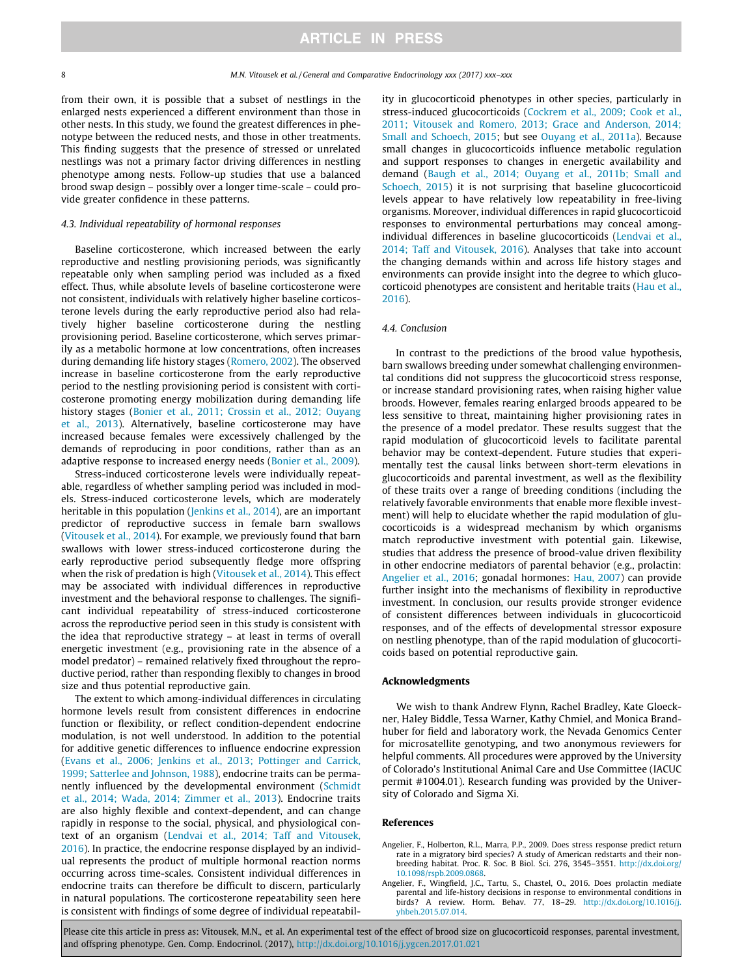from their own, it is possible that a subset of nestlings in the enlarged nests experienced a different environment than those in other nests. In this study, we found the greatest differences in phenotype between the reduced nests, and those in other treatments. This finding suggests that the presence of stressed or unrelated nestlings was not a primary factor driving differences in nestling phenotype among nests. Follow-up studies that use a balanced brood swap design – possibly over a longer time-scale – could provide greater confidence in these patterns.

#### 4.3. Individual repeatability of hormonal responses

Baseline corticosterone, which increased between the early reproductive and nestling provisioning periods, was significantly repeatable only when sampling period was included as a fixed effect. Thus, while absolute levels of baseline corticosterone were not consistent, individuals with relatively higher baseline corticosterone levels during the early reproductive period also had relatively higher baseline corticosterone during the nestling provisioning period. Baseline corticosterone, which serves primarily as a metabolic hormone at low concentrations, often increases during demanding life history stages (Romero, 2002). The observed increase in baseline corticosterone from the early reproductive period to the nestling provisioning period is consistent with corticosterone promoting energy mobilization during demanding life history stages (Bonier et al., 2011; Crossin et al., 2012; Ouyang et al., 2013). Alternatively, baseline corticosterone may have increased because females were excessively challenged by the demands of reproducing in poor conditions, rather than as an adaptive response to increased energy needs (Bonier et al., 2009).

Stress-induced corticosterone levels were individually repeatable, regardless of whether sampling period was included in models. Stress-induced corticosterone levels, which are moderately heritable in this population (Jenkins et al., 2014), are an important predictor of reproductive success in female barn swallows (Vitousek et al., 2014). For example, we previously found that barn swallows with lower stress-induced corticosterone during the early reproductive period subsequently fledge more offspring when the risk of predation is high (Vitousek et al., 2014). This effect may be associated with individual differences in reproductive investment and the behavioral response to challenges. The significant individual repeatability of stress-induced corticosterone across the reproductive period seen in this study is consistent with the idea that reproductive strategy – at least in terms of overall energetic investment (e.g., provisioning rate in the absence of a model predator) – remained relatively fixed throughout the reproductive period, rather than responding flexibly to changes in brood size and thus potential reproductive gain.

The extent to which among-individual differences in circulating hormone levels result from consistent differences in endocrine function or flexibility, or reflect condition-dependent endocrine modulation, is not well understood. In addition to the potential for additive genetic differences to influence endocrine expression (Evans et al., 2006; Jenkins et al., 2013; Pottinger and Carrick, 1999; Satterlee and Johnson, 1988), endocrine traits can be permanently influenced by the developmental environment (Schmidt et al., 2014; Wada, 2014; Zimmer et al., 2013). Endocrine traits are also highly flexible and context-dependent, and can change rapidly in response to the social, physical, and physiological context of an organism (Lendvai et al., 2014; Taff and Vitousek, 2016). In practice, the endocrine response displayed by an individual represents the product of multiple hormonal reaction norms occurring across time-scales. Consistent individual differences in endocrine traits can therefore be difficult to discern, particularly in natural populations. The corticosterone repeatability seen here is consistent with findings of some degree of individual repeatability in glucocorticoid phenotypes in other species, particularly in stress-induced glucocorticoids (Cockrem et al., 2009; Cook et al., 2011; Vitousek and Romero, 2013; Grace and Anderson, 2014; Small and Schoech, 2015; but see Ouyang et al., 2011a). Because small changes in glucocorticoids influence metabolic regulation and support responses to changes in energetic availability and demand (Baugh et al., 2014; Ouyang et al., 2011b; Small and Schoech, 2015) it is not surprising that baseline glucocorticoid levels appear to have relatively low repeatability in free-living organisms. Moreover, individual differences in rapid glucocorticoid responses to environmental perturbations may conceal amongindividual differences in baseline glucocorticoids (Lendvai et al., 2014; Taff and Vitousek, 2016). Analyses that take into account the changing demands within and across life history stages and environments can provide insight into the degree to which glucocorticoid phenotypes are consistent and heritable traits (Hau et al., 2016).

#### 4.4. Conclusion

In contrast to the predictions of the brood value hypothesis, barn swallows breeding under somewhat challenging environmental conditions did not suppress the glucocorticoid stress response, or increase standard provisioning rates, when raising higher value broods. However, females rearing enlarged broods appeared to be less sensitive to threat, maintaining higher provisioning rates in the presence of a model predator. These results suggest that the rapid modulation of glucocorticoid levels to facilitate parental behavior may be context-dependent. Future studies that experimentally test the causal links between short-term elevations in glucocorticoids and parental investment, as well as the flexibility of these traits over a range of breeding conditions (including the relatively favorable environments that enable more flexible investment) will help to elucidate whether the rapid modulation of glucocorticoids is a widespread mechanism by which organisms match reproductive investment with potential gain. Likewise, studies that address the presence of brood-value driven flexibility in other endocrine mediators of parental behavior (e.g., prolactin: Angelier et al., 2016; gonadal hormones: Hau, 2007) can provide further insight into the mechanisms of flexibility in reproductive investment. In conclusion, our results provide stronger evidence of consistent differences between individuals in glucocorticoid responses, and of the effects of developmental stressor exposure on nestling phenotype, than of the rapid modulation of glucocorticoids based on potential reproductive gain.

#### Acknowledgments

We wish to thank Andrew Flynn, Rachel Bradley, Kate Gloeckner, Haley Biddle, Tessa Warner, Kathy Chmiel, and Monica Brandhuber for field and laboratory work, the Nevada Genomics Center for microsatellite genotyping, and two anonymous reviewers for helpful comments. All procedures were approved by the University of Colorado's Institutional Animal Care and Use Committee (IACUC permit #1004.01). Research funding was provided by the University of Colorado and Sigma Xi.

#### References

- Angelier, F., Holberton, R.L., Marra, P.P., 2009. Does stress response predict return rate in a migratory bird species? A study of American redstarts and their nonbreeding habitat. Proc. R. Soc. B Biol. Sci. 276, 3545–3551. http://dx.doi.org/ 10.1098/rspb.2009.0868.
- Angelier, F., Wingfield, J.C., Tartu, S., Chastel, O., 2016. Does prolactin mediate parental and life-history decisions in response to environmental conditions in birds? A review. Horm. Behav. 77, 18–29. http://dx.doi.org/10.1016/j. yhbeh.2015.07.014.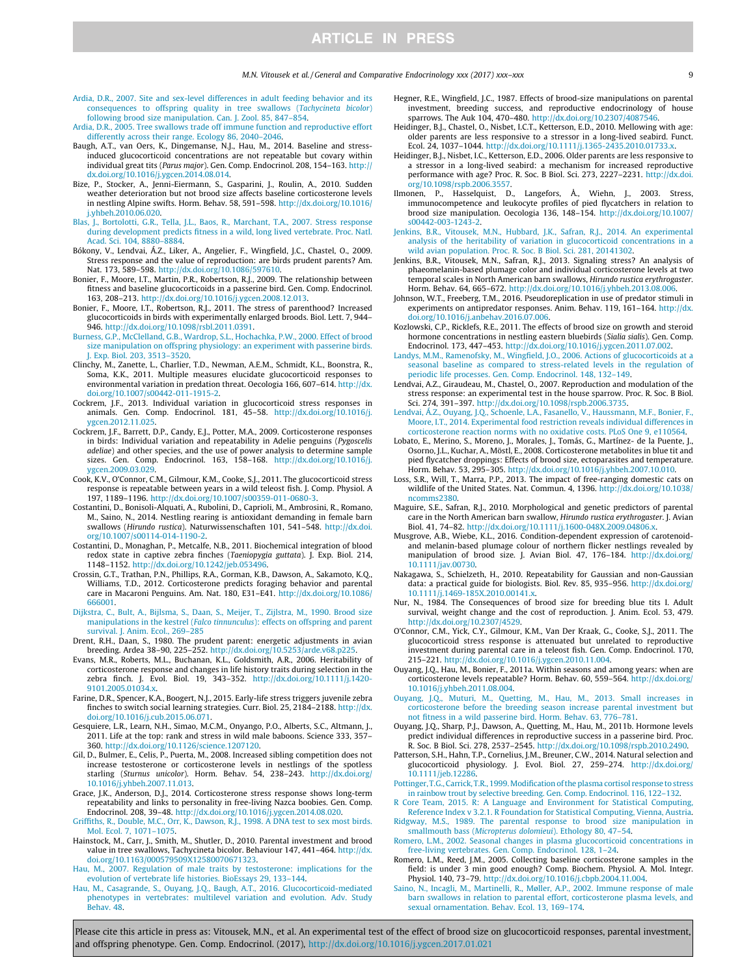- Ardia, D.R., 2007. Site and sex-level differences in adult feeding behavior and its consequences to offspring quality in tree swallows (Tachycineta bicolor) following brood size manipulation. Can. J. Zool. 85, 847–854.
- Ardia, D.R., 2005. Tree swallows trade off immune function and reproductive effort differently across their range. Ecology 86, 2040–2046.
- Baugh, A.T., van Oers, K., Dingemanse, N.J., Hau, M., 2014. Baseline and stressinduced glucocorticoid concentrations are not repeatable but covary within individual great tits (Parus major). Gen. Comp. Endocrinol. 208, 154–163. http:// dx.doi.org/10.1016/j.ygcen.2014.08.014.
- Bize, P., Stocker, A., Jenni-Eiermann, S., Gasparini, J., Roulin, A., 2010. Sudden weather deterioration but not brood size affects baseline corticosterone levels in nestling Alpine swifts. Horm. Behav. 58, 591–598. http://dx.doi.org/10.1016/ j.yhbeh.2010.06.020.
- Blas, J., Bortolotti, G.R., Tella, J.L., Baos, R., Marchant, T.A., 2007. Stress response during development predicts fitness in a wild, long lived vertebrate. Proc. Natl. Acad. Sci. 104, 8880–8884.
- Bókony, V., Lendvai, Á.Z., Liker, A., Angelier, F., Wingfield, J.C., Chastel, O., 2009. Stress response and the value of reproduction: are birds prudent parents? Am. Nat. 173, 589–598. http://dx.doi.org/10.1086/597610.
- Bonier, F., Moore, I.T., Martin, P.R., Robertson, R.J., 2009. The relationship between fitness and baseline glucocorticoids in a passerine bird. Gen. Comp. Endocrinol. 163, 208–213. http://dx.doi.org/10.1016/j.ygcen.2008.12.013.
- Bonier, F., Moore, I.T., Robertson, R.J., 2011. The stress of parenthood? Increased glucocorticoids in birds with experimentally enlarged broods. Biol. Lett. 7, 944– 946. http://dx.doi.org/10.1098/rsbl.2011.0391.
- Burness, G.P., McClelland, G.B., Wardrop, S.L., Hochachka, P.W., 2000. Effect of brood size manipulation on offspring physiology: an experiment with passerine birds. J. Exp. Biol. 203, 3513–3520.
- Clinchy, M., Zanette, L., Charlier, T.D., Newman, A.E.M., Schmidt, K.L., Boonstra, R., Soma, K.K., 2011. Multiple measures elucidate glucocorticoid responses to environmental variation in predation threat. Oecologia 166, 607–614. http://dx. doi.org/10.1007/s00442-011-1915-2.
- Cockrem, J.F., 2013. Individual variation in glucocorticoid stress responses in animals. Gen. Comp. Endocrinol. 181, 45–58. http://dx.doi.org/10.1016/j. ygcen.2012.11.025.
- Cockrem, J.F., Barrett, D.P., Candy, E.J., Potter, M.A., 2009. Corticosterone responses in birds: Individual variation and repeatability in Adelie penguins (Pygoscelis adeliae) and other species, and the use of power analysis to determine sample sizes. Gen. Comp. Endocrinol. 163, 158–168. http://dx.doi.org/10.1016/j. ygcen.2009.03.029.
- Cook, K.V., O'Connor, C.M., Gilmour, K.M., Cooke, S.J., 2011. The glucocorticoid stress response is repeatable between years in a wild teleost fish. J. Comp. Physiol. A 197, 1189–1196. http://dx.doi.org/10.1007/s00359-011-0680-3.
- Costantini, D., Bonisoli-Alquati, A., Rubolini, D., Caprioli, M., Ambrosini, R., Romano, M., Saino, N., 2014. Nestling rearing is antioxidant demanding in female barn swallows (Hirundo rustica). Naturwissenschaften 101, 541–548. http://dx.doi. org/10.1007/s00114-014-1190-2.
- Costantini, D., Monaghan, P., Metcalfe, N.B., 2011. Biochemical integration of blood redox state in captive zebra finches (Taeniopygia guttata). J. Exp. Biol. 214, 1148–1152. http://dx.doi.org/10.1242/jeb.053496.
- Crossin, G.T., Trathan, P.N., Phillips, R.A., Gorman, K.B., Dawson, A., Sakamoto, K.Q., Williams, T.D., 2012. Corticosterone predicts foraging behavior and parental care in Macaroni Penguins. Am. Nat. 180, E31–E41. http://dx.doi.org/10.1086/ 666001.
- Dijkstra, C., Bult, A., Bijlsma, S., Daan, S., Meijer, T., Zijlstra, M., 1990. Brood size manipulations in the kestrel (Falco tinnunculus): effects on offspring and parent survival. J. Anim. Ecol., 269–285
- Drent, R.H., Daan, S., 1980. The prudent parent: energetic adjustments in avian breeding. Ardea 38–90, 225–252. http://dx.doi.org/10.5253/arde.v68.p225.
- Evans, M.R., Roberts, M.L., Buchanan, K.L., Goldsmith, A.R., 2006. Heritability of corticosterone response and changes in life history traits during selection in the zebra finch. J. Evol. Biol. 19, 343–352. http://dx.doi.org/10.1111/j.1420- 9101.2005.01034.x.
- Farine, D.R., Spencer, K.A., Boogert, N.J., 2015. Early-life stress triggers juvenile zebra finches to switch social learning strategies. Curr. Biol. 25, 2184–2188. http://dx. doi.org/10.1016/j.cub.2015.06.071.
- Gesquiere, L.R., Learn, N.H., Simao, M.C.M., Onyango, P.O., Alberts, S.C., Altmann, J., 2011. Life at the top: rank and stress in wild male baboons. Science 333, 357– 360. http://dx.doi.org/10.1126/science.1207120.
- Gil, D., Bulmer, E., Celis, P., Puerta, M., 2008. Increased sibling competition does not increase testosterone or corticosterone levels in nestlings of the spotless starling (Sturnus unicolor). Horm. Behav. 54, 238–243. http://dx.doi.org/ 10.1016/j.yhbeh.2007.11.013.
- Grace, J.K., Anderson, D.J., 2014. Corticosterone stress response shows long-term repeatability and links to personality in free-living Nazca boobies. Gen. Comp. Endocrinol. 208, 39–48. http://dx.doi.org/10.1016/j.ygcen.2014.08.020.
- Griffiths, R., Double, M.C., Orr, K., Dawson, R.J., 1998. A DNA test to sex most birds. Mol. Ecol. 7, 1071–1075.
- Hainstock, M., Carr, J., Smith, M., Shutler, D., 2010. Parental investment and brood value in tree swallows, Tachycineta bicolor. Behaviour 147, 441–464. http://dx. doi.org/10.1163/000579509X12580070671323.
- Hau, M., 2007. Regulation of male traits by testosterone: implications for the evolution of vertebrate life histories. BioEssays 29, 133–144.
- Hau, M., Casagrande, S., Ouyang, J.Q., Baugh, A.T., 2016. Glucocorticoid-mediated phenotypes in vertebrates: multilevel variation and evolution. Adv. Study Behav. 48.
- Hegner, R.E., Wingfield, J.C., 1987. Effects of brood-size manipulations on parental investment, breeding success, and reproductive endocrinology of house sparrows. The Auk 104, 470–480. http://dx.doi.org/10.2307/4087546.
- Heidinger, B.J., Chastel, O., Nisbet, I.C.T., Ketterson, E.D., 2010. Mellowing with age: older parents are less responsive to a stressor in a long-lived seabird. Funct. Ecol. 24, 1037–1044. http://dx.doi.org/10.1111/j.1365-2435.2010.01733.x.
- Heidinger, B.J., Nisbet, I.C., Ketterson, E.D., 2006. Older parents are less responsive to a stressor in a long-lived seabird: a mechanism for increased reproductive performance with age? Proc. R. Soc. B Biol. Sci. 273, 2227–2231. http://dx.doi. org/10.1098/rspb.2006.3557.
- Ilmonen, P., Hasselquist, D., Langefors, Å., Wiehn, J., 2003. Stress, immunocompetence and leukocyte profiles of pied flycatchers in relation to brood size manipulation. Oecologia 136, 148–154. http://dx.doi.org/10.1007/ s00442-003-1243-2.
- Jenkins, B.R., Vitousek, M.N., Hubbard, J.K., Safran, R.J., 2014. An experimental analysis of the heritability of variation in glucocorticoid concentrations in a wild avian population. Proc. R. Soc. B Biol. Sci. 281, 20141302.
- Jenkins, B.R., Vitousek, M.N., Safran, R.J., 2013. Signaling stress? An analysis of phaeomelanin-based plumage color and individual corticosterone levels at two temporal scales in North American barn swallows, Hirundo rustica erythrogaster. Horm. Behav. 64, 665–672. http://dx.doi.org/10.1016/j.yhbeh.2013.08.006.
- Johnson, W.T., Freeberg, T.M., 2016. Pseudoreplication in use of predator stimuli in experiments on antipredator responses. Anim. Behav. 119, 161–164. http://dx. doi.org/10.1016/j.anbehav.2016.07.006.
- Kozlowski, C.P., Ricklefs, R.E., 2011. The effects of brood size on growth and steroid hormone concentrations in nestling eastern bluebirds (Sialia sialis). Gen. Comp. Endocrinol. 173, 447–453. http://dx.doi.org/10.1016/j.ygcen.2011.07.002.
- Landys, M.M., Ramenofsky, M., Wingfield, J.O., 2006. Actions of glucocorticoids at a seasonal baseline as compared to stress-related levels in the regulation of periodic life processes. Gen. Comp. Endocrinol. 148, 132–149.
- Lendvai, A.Z., Giraudeau, M., Chastel, O., 2007. Reproduction and modulation of the stress response: an experimental test in the house sparrow. Proc. R. Soc. B Biol. Sci. 274, 391–397. http://dx.doi.org/10.1098/rspb.2006.3735.
- Lendvai, Á.Z., Ouyang, J.Q., Schoenle, L.A., Fasanello, V., Haussmann, M.F., Bonier, F., Moore, I.T., 2014. Experimental food restriction reveals individual differences in corticosterone reaction norms with no oxidative costs. PLoS One 9, e110564.
- Lobato, E., Merino, S., Moreno, J., Morales, J., Tomás, G., Martínez- de la Puente, J., Osorno, J.L., Kuchar, A., Möstl, E., 2008. Corticosterone metabolites in blue tit and pied flycatcher droppings: Effects of brood size, ectoparasites and temperature. Horm. Behav. 53, 295–305. http://dx.doi.org/10.1016/j.yhbeh.2007.10.010.
- Loss, S.R., Will, T., Marra, P.P., 2013. The impact of free-ranging domestic cats on wildlife of the United States. Nat. Commun. 4, 1396. http://dx.doi.org/10.1038/ ncomms2380.
- Maguire, S.E., Safran, R.J., 2010. Morphological and genetic predictors of parental care in the North American barn swallow, Hirundo rustica erythrogaster. J. Avian Biol. 41, 74–82. http://dx.doi.org/10.1111/j.1600-048X.2009.04806.x.
- Musgrove, A.B., Wiebe, K.L., 2016. Condition-dependent expression of carotenoidand melanin-based plumage colour of northern flicker nestlings revealed by manipulation of brood size. J. Avian Biol. 47, 176–184. http://dx.doi.org/ 10.1111/jav.00730.
- Nakagawa, S., Schielzeth, H., 2010. Repeatability for Gaussian and non-Gaussian data: a practical guide for biologists. Biol. Rev. 85, 935–956. http://dx.doi.org/ 10.1111/j.1469-185X.2010.00141.x.
- Nur, N., 1984. The Consequences of brood size for breeding blue tits I. Adult survival, weight change and the cost of reproduction. J. Anim. Ecol. 53, 479. http://dx.doi.org/10.2307/4529.
- O'Connor, C.M., Yick, C.Y., Gilmour, K.M., Van Der Kraak, G., Cooke, S.J., 2011. The glucocorticoid stress response is attenuated but unrelated to reproductive investment during parental care in a teleost fish. Gen. Comp. Endocrinol. 170, 215–221. http://dx.doi.org/10.1016/j.ygcen.2010.11.004.
- Ouyang, J.Q., Hau, M., Bonier, F., 2011a. Within seasons and among years: when are corticosterone levels repeatable? Horm. Behav. 60, 559–564. http://dx.doi.org/ 10.1016/j.yhbeh.2011.08.004.
- Ouyang, J.Q., Muturi, M., Quetting, M., Hau, M., 2013. Small increases in corticosterone before the breeding season increase parental investment but not fitness in a wild passerine bird. Horm. Behav. 63, 776–781.
- Ouyang, J.Q., Sharp, P.J., Dawson, A., Quetting, M., Hau, M., 2011b. Hormone levels predict individual differences in reproductive success in a passerine bird. Proc. R. Soc. B Biol. Sci. 278, 2537–2545. http://dx.doi.org/10.1098/rspb.2010.2490.
- Patterson, S.H., Hahn, T.P., Cornelius, J.M., Breuner, C.W., 2014. Natural selection and glucocorticoid physiology. J. Evol. Biol. 27, 259–274. http://dx.doi.org/ 10.1111/jeb.12286.
- Pottinger, T.G., Carrick, T.R., 1999.Modification of the plasma cortisol response to stress in rainbow trout by selective breeding. Gen. Comp. Endocrinol. 116, 122–132.
- R Core Team, 2015. R: A Language and Environment for Statistical Computing, Reference Index v 3.2.1. R Foundation for Statistical Computing, Vienna, Austria.
- Ridgway, M.S., 1989. The parental response to brood size manipulation in smallmouth bass (Micropterus dolomieui). Ethology 80, 47-54.
- Romero, L.M., 2002. Seasonal changes in plasma glucocorticoid concentrations in free-living vertebrates. Gen. Comp. Endocrinol. 128, 1–24.
- Romero, L.M., Reed, J.M., 2005. Collecting baseline corticosterone samples in the field: is under 3 min good enough? Comp. Biochem. Physiol. A. Mol. Integr. Physiol. 140, 73–79. http://dx.doi.org/10.1016/j.cbpb.2004.11.004.
- Saino, N., Incagli, M., Martinelli, R., Møller, A.P., 2002. Immune response of male barn swallows in relation to parental effort, corticosterone plasma levels, and sexual ornamentation. Behav. Ecol. 13, 169–174.